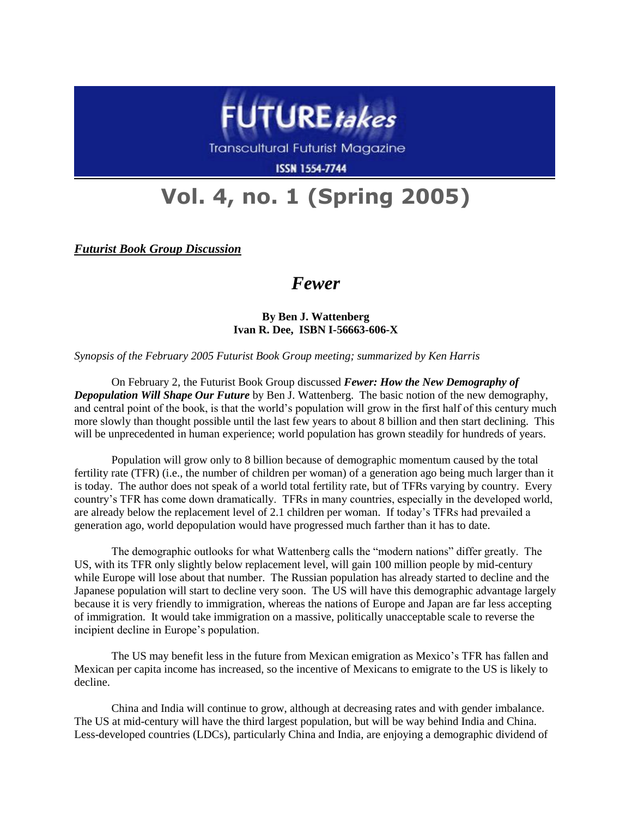

Transcultural Futurist Magazine

**ISSN 1554-7744** 

## **Vol. 4, no. 1 (Spring 2005)**

*Futurist Book Group Discussion*

## *Fewer*

**By Ben J. Wattenberg Ivan R. Dee, ISBN I-56663-606-X**

*Synopsis of the February 2005 Futurist Book Group meeting; summarized by Ken Harris*

On February 2, the Futurist Book Group discussed *Fewer: How the New Demography of Depopulation Will Shape Our Future* by Ben J. Wattenberg. The basic notion of the new demography, and central point of the book, is that the world's population will grow in the first half of this century much more slowly than thought possible until the last few years to about 8 billion and then start declining. This will be unprecedented in human experience; world population has grown steadily for hundreds of years.

Population will grow only to 8 billion because of demographic momentum caused by the total fertility rate (TFR) (i.e., the number of children per woman) of a generation ago being much larger than it is today. The author does not speak of a world total fertility rate, but of TFRs varying by country. Every country's TFR has come down dramatically. TFRs in many countries, especially in the developed world, are already below the replacement level of 2.1 children per woman. If today's TFRs had prevailed a generation ago, world depopulation would have progressed much farther than it has to date.

The demographic outlooks for what Wattenberg calls the "modern nations" differ greatly. The US, with its TFR only slightly below replacement level, will gain 100 million people by mid-century while Europe will lose about that number. The Russian population has already started to decline and the Japanese population will start to decline very soon. The US will have this demographic advantage largely because it is very friendly to immigration, whereas the nations of Europe and Japan are far less accepting of immigration. It would take immigration on a massive, politically unacceptable scale to reverse the incipient decline in Europe's population.

The US may benefit less in the future from Mexican emigration as Mexico's TFR has fallen and Mexican per capita income has increased, so the incentive of Mexicans to emigrate to the US is likely to decline.

China and India will continue to grow, although at decreasing rates and with gender imbalance. The US at mid-century will have the third largest population, but will be way behind India and China. Less-developed countries (LDCs), particularly China and India, are enjoying a demographic dividend of